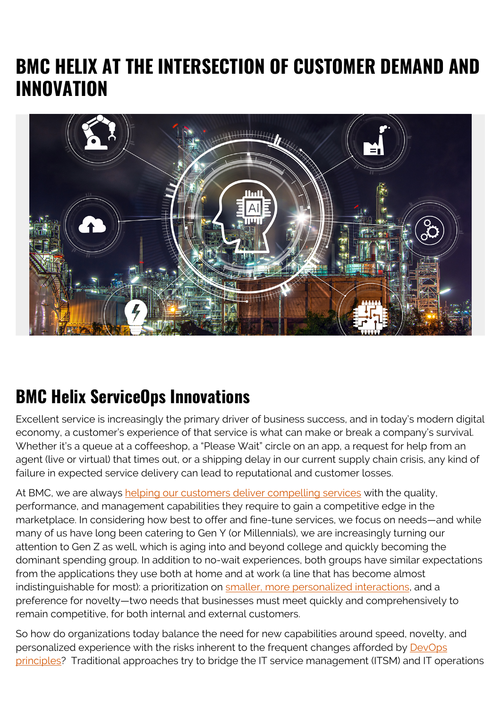## **BMC HELIX AT THE INTERSECTION OF CUSTOMER DEMAND AND INNOVATION**



## **BMC Helix ServiceOps Innovations**

Excellent service is increasingly the primary driver of business success, and in today's modern digital economy, a customer's experience of that service is what can make or break a company's survival. Whether it's a queue at a coffeeshop, a "Please Wait" circle on an app, a request for help from an agent (live or virtual) that times out, or a shipping delay in our current supply chain crisis, any kind of failure in expected service delivery can lead to reputational and customer losses.

At BMC, we are always [helping our customers deliver compelling services](https://blogs.bmc.com/blogs/bmc-helix-spring-2021-release/) with the quality. performance, and management capabilities they require to gain a competitive edge in the marketplace. In considering how best to offer and fine-tune services, we focus on needs—and while many of us have long been catering to Gen Y (or Millennials), we are increasingly turning our attention to Gen Z as well, which is aging into and beyond college and quickly becoming the dominant spending group. In addition to no-wait experiences, both groups have similar expectations from the applications they use both at home and at work (a line that has become almost indistinguishable for most): a prioritization on [smaller, more personalized interactions,](https://hbr.org/2021/03/where-brands-are-reaching-gen-z) and a preference for novelty—two needs that businesses must meet quickly and comprehensively to remain competitive, for both internal and external customers.

So how do organizations today balance the need for new capabilities around speed, novelty, and personalized experience with the risks inherent to the frequent changes afforded by [DevOps](https://blogs.bmc.com/it-solutions/devops.html) [principles?](https://blogs.bmc.com/it-solutions/devops.html) Traditional approaches try to bridge the IT service management (ITSM) and IT operations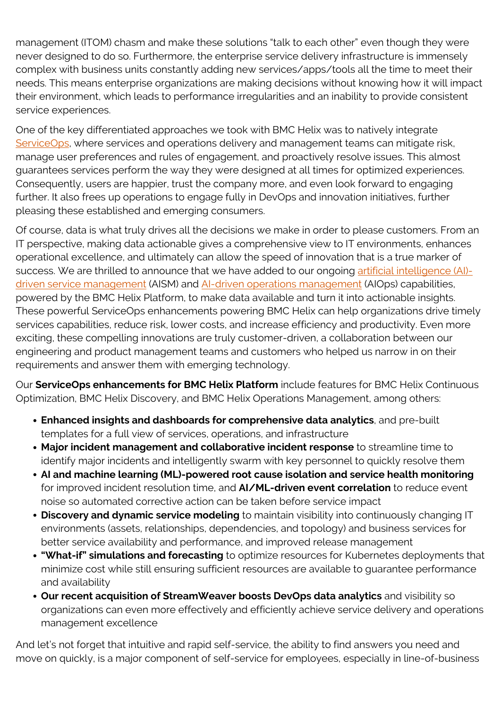management (ITOM) chasm and make these solutions "talk to each other" even though they were never designed to do so. Furthermore, the enterprise service delivery infrastructure is immensely complex with business units constantly adding new services/apps/tools all the time to meet their needs. This means enterprise organizations are making decisions without knowing how it will impact their environment, which leads to performance irregularities and an inability to provide consistent service experiences.

One of the key differentiated approaches we took with BMC Helix was to natively integrate [ServiceOps](https://blogs.bmc.com/blogs/serviceops/), where services and operations delivery and management teams can mitigate risk, manage user preferences and rules of engagement, and proactively resolve issues. This almost guarantees services perform the way they were designed at all times for optimized experiences. Consequently, users are happier, trust the company more, and even look forward to engaging further. It also frees up operations to engage fully in DevOps and innovation initiatives, further pleasing these established and emerging consumers.

Of course, data is what truly drives all the decisions we make in order to please customers. From an IT perspective, making data actionable gives a comprehensive view to IT environments, enhances operational excellence, and ultimately can allow the speed of innovation that is a true marker of success. We are thrilled to announce that we have added to our ongoing [artificial intelligence \(AI\)](https://blogs.bmc.com/blogs/aism-ai-service-management/) [driven service management](https://blogs.bmc.com/blogs/aism-ai-service-management/) (AISM) and [AI-driven operations management](https://blogs.bmc.com/it-solutions/aiops.html) (AIOps) capabilities, powered by the BMC Helix Platform, to make data available and turn it into actionable insights. These powerful ServiceOps enhancements powering BMC Helix can help organizations drive timely services capabilities, reduce risk, lower costs, and increase efficiency and productivity. Even more exciting, these compelling innovations are truly customer-driven, a collaboration between our engineering and product management teams and customers who helped us narrow in on their requirements and answer them with emerging technology.

Our **ServiceOps enhancements for BMC Helix Platform** include features for BMC Helix Continuous Optimization, BMC Helix Discovery, and BMC Helix Operations Management, among others:

- **Enhanced insights and dashboards for comprehensive data analytics**, and pre-built templates for a full view of services, operations, and infrastructure
- **Major incident management and collaborative incident response** to streamline time to identify major incidents and intelligently swarm with key personnel to quickly resolve them
- **AI and machine learning (ML)-powered root cause isolation and service health monitoring** for improved incident resolution time, and **AI/ML-driven event correlation** to reduce event noise so automated corrective action can be taken before service impact
- **Discovery and dynamic service modeling** to maintain visibility into continuously changing IT environments (assets, relationships, dependencies, and topology) and business services for better service availability and performance, and improved release management
- **"What-if" simulations and forecasting** to optimize resources for Kubernetes deployments that minimize cost while still ensuring sufficient resources are available to guarantee performance and availability
- **Our recent acquisition of StreamWeaver boosts DevOps data analytics** and visibility so organizations can even more effectively and efficiently achieve service delivery and operations management excellence

And let's not forget that intuitive and rapid self-service, the ability to find answers you need and move on quickly, is a major component of self-service for employees, especially in line-of-business